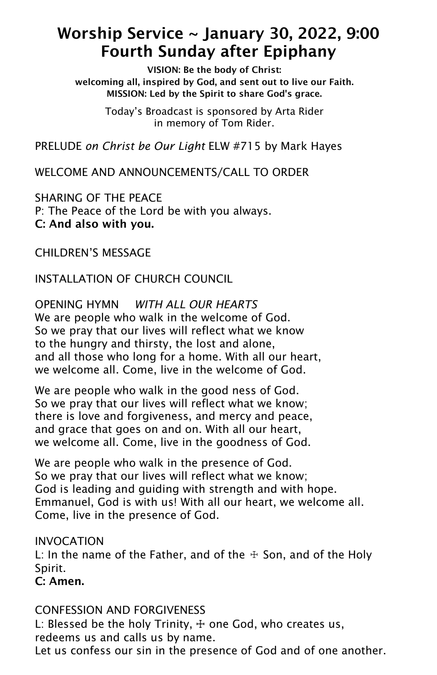# Worship Service ~ January 30, 2022, 9:00 Fourth Sunday after Epiphany

VISION: Be the body of Christ: welcoming all, inspired by God, and sent out to live our Faith. MISSION: Led by the Spirit to share God's grace.

> Today's Broadcast is sponsored by Arta Rider in memory of Tom Rider.

PRELUDE *on Christ be Our Light* ELW #715 by Mark Hayes

WELCOME AND ANNOUNCEMENTS/CALL TO ORDER

SHARING OF THE PEACE P: The Peace of the Lord be with you always. C: And also with you.

CHILDREN'S MESSAGE

INSTALLATION OF CHURCH COUNCIL

OPENING HYMN *WITH ALL OUR HEARTS* We are people who walk in the welcome of God. So we pray that our lives will reflect what we know to the hungry and thirsty, the lost and alone, and all those who long for a home. With all our heart, we welcome all. Come, live in the welcome of God.

We are people who walk in the good ness of God. So we pray that our lives will reflect what we know; there is love and forgiveness, and mercy and peace, and grace that goes on and on. With all our heart, we welcome all. Come, live in the goodness of God.

We are people who walk in the presence of God. So we pray that our lives will reflect what we know; God is leading and guiding with strength and with hope. Emmanuel, God is with us! With all our heart, we welcome all. Come, live in the presence of God.

#### INVOCATION

L: In the name of the Father, and of the  $\pm$  Son, and of the Holy Spirit.

C: Amen.

CONFESSION AND FORGIVENESS

L: Blessed be the holy Trinity,  $+$  one God, who creates us, redeems us and calls us by name.

Let us confess our sin in the presence of God and of one another.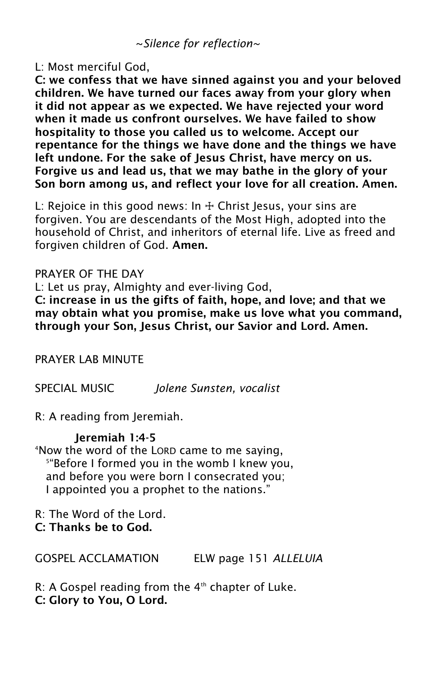L: Most merciful God,

C: we confess that we have sinned against you and your beloved children. We have turned our faces away from your glory when it did not appear as we expected. We have rejected your word when it made us confront ourselves. We have failed to show hospitality to those you called us to welcome. Accept our repentance for the things we have done and the things we have left undone. For the sake of Jesus Christ, have mercy on us. Forgive us and lead us, that we may bathe in the glory of your Son born among us, and reflect your love for all creation. Amen.

L: Rejoice in this good news: In  $+$  Christ Jesus, your sins are forgiven. You are descendants of the Most High, adopted into the household of Christ, and inheritors of eternal life. Live as freed and forgiven children of God. Amen.

PRAYER OF THE DAY

L: Let us pray, Almighty and ever-living God,

C: increase in us the gifts of faith, hope, and love; and that we may obtain what you promise, make us love what you command, through your Son, Jesus Christ, our Savior and Lord. Amen.

PRAYER LAB MINUTE

SPECIAL MUSIC *Jolene Sunsten, vocalist*

R: A reading from Jeremiah.

### Jeremiah 1:4-5

<sup>4</sup>Now the word of the LORD came to me saying, 5 "Before I formed you in the womb I knew you, and before you were born I consecrated you; I appointed you a prophet to the nations."

R: The Word of the Lord. C: Thanks be to God.

GOSPEL ACCLAMATION ELW page 151 *ALLELUIA*

 $R$ : A Gospel reading from the  $4<sup>th</sup>$  chapter of Luke. C: Glory to You, O Lord.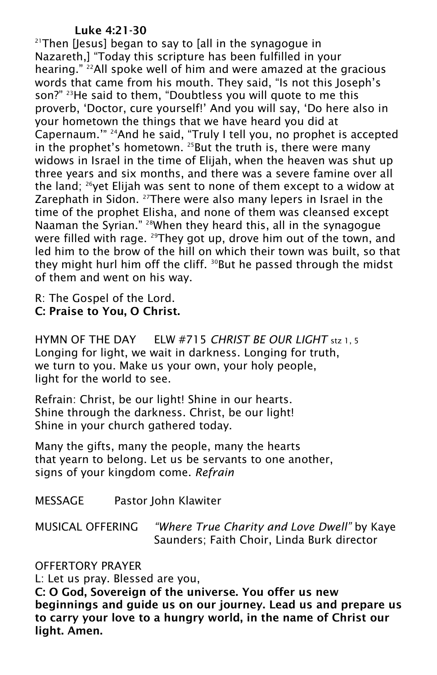## Luke 4:21-30

 $21$ Then [Jesus] began to say to [all in the synagogue in Nazareth,] "Today this scripture has been fulfilled in your hearing." <sup>22</sup>All spoke well of him and were amazed at the gracious words that came from his mouth. They said, "Is not this Joseph's son?" <sup>23</sup>He said to them, "Doubtless you will quote to me this proverb, 'Doctor, cure yourself!' And you will say, 'Do here also in your hometown the things that we have heard you did at Capernaum.'" <sup>24</sup>And he said, "Truly I tell you, no prophet is accepted in the prophet's hometown.  $25$ But the truth is, there were many widows in Israel in the time of Elijah, when the heaven was shut up three years and six months, and there was a severe famine over all the land; <sup>26</sup>yet Elijah was sent to none of them except to a widow at Zarephath in Sidon. <sup>27</sup>There were also many lepers in Israel in the time of the prophet Elisha, and none of them was cleansed except Naaman the Syrian." <sup>28</sup>When they heard this, all in the synagogue were filled with rage. <sup>29</sup>They got up, drove him out of the town, and led him to the brow of the hill on which their town was built, so that they might hurl him off the cliff.  $30B$ ut he passed through the midst of them and went on his way.

R: The Gospel of the Lord. C: Praise to You, O Christ.

HYMN OF THE DAY ELW #715 *CHRIST BE OUR LIGHT* stz 1, 5 Longing for light, we wait in darkness. Longing for truth, we turn to you. Make us your own, your holy people, light for the world to see.

Refrain: Christ, be our light! Shine in our hearts. Shine through the darkness. Christ, be our light! Shine in your church gathered today.

Many the gifts, many the people, many the hearts that yearn to belong. Let us be servants to one another, signs of your kingdom come. *Refrain*

MESSAGE Pastor John Klawiter

MUSICAL OFFERING *"Where True Charity and Love Dwell"* by Kaye Saunders; Faith Choir, Linda Burk director

OFFERTORY PRAYER

L: Let us pray. Blessed are you,

C: O God, Sovereign of the universe. You offer us new beginnings and guide us on our journey. Lead us and prepare us to carry your love to a hungry world, in the name of Christ our light. Amen.